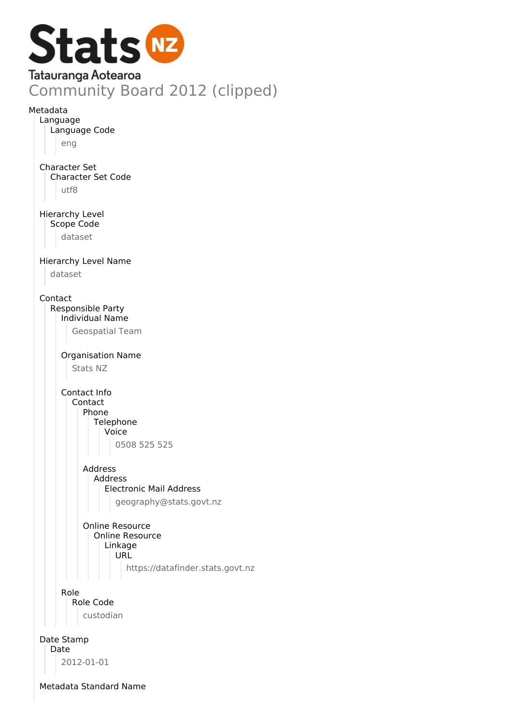

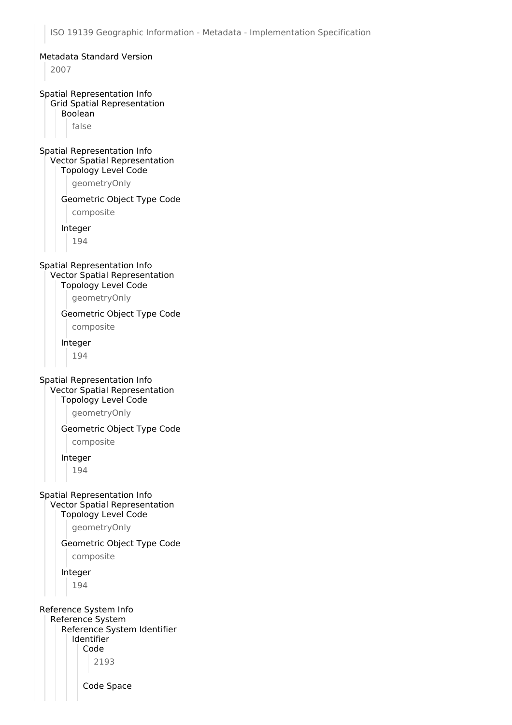ISO 19139 Geographic Information - Metadata - Implementation Specification Metadata Standard Version 2007 Spatial Representation Info Grid Spatial Representation Boolean false Spatial Representation Info Vector Spatial Representation Topology Level Code geometryOnly Geometric Object Type Code composite Integer 194 Spatial Representation Info Vector Spatial Representation Topology Level Code geometryOnly Geometric Object Type Code composite Integer 194 Spatial Representation Info Vector Spatial Representation Topology Level Code geometryOnly Geometric Object Type Code composite Integer 194 Spatial Representation Info Vector Spatial Representation Topology Level Code geometryOnly Geometric Object Type Code composite Integer 194 Reference System Info Reference System Reference System Identifier Identifier Code 2193 Code Space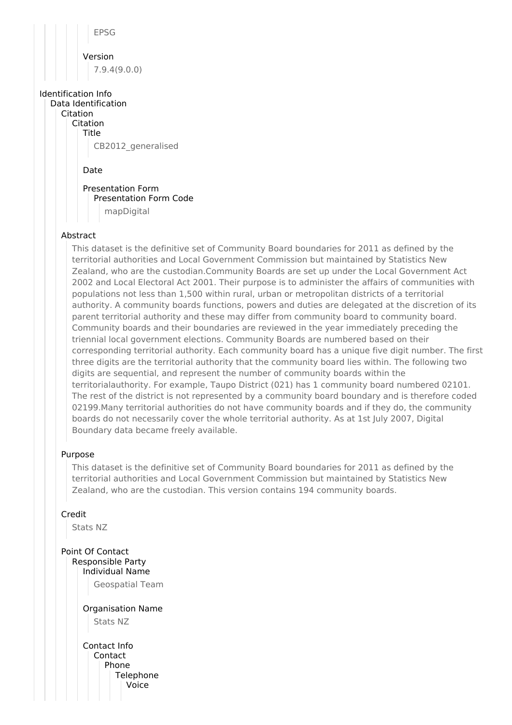EPSG Version 7.9.4(9.0.0)

# Identification Info

Data Identification Citation

> Citation Title CB2012\_generalised

> > Date

Presentation Form Presentation Form Code mapDigital

## Abstract

This dataset is the definitive set of Community Board boundaries for 2011 as defined by the territorial authorities and Local Government Commission but maintained by Statistics New Zealand, who are the custodian.Community Boards are set up under the Local Government Act 2002 and Local Electoral Act 2001. Their purpose is to administer the affairs of communities with populations not less than 1,500 within rural, urban or metropolitan districts of a territorial authority. A community boards functions, powers and duties are delegated at the discretion of its parent territorial authority and these may differ from community board to community board. Community boards and their boundaries are reviewed in the year immediately preceding the triennial local government elections. Community Boards are numbered based on their corresponding territorial authority. Each community board has a unique five digit number. The first three digits are the territorial authority that the community board lies within. The following two digits are sequential, and represent the number of community boards within the territorialauthority. For example, Taupo District (021) has 1 community board numbered 02101. The rest of the district is not represented by a community board boundary and is therefore coded 02199.Many territorial authorities do not have community boards and if they do, the community boards do not necessarily cover the whole territorial authority. As at 1st July 2007, Digital Boundary data became freely available.

#### Purpose

This dataset is the definitive set of Community Board boundaries for 2011 as defined by the territorial authorities and Local Government Commission but maintained by Statistics New Zealand, who are the custodian. This version contains 194 community boards.

# Credit

Stats NZ

Point Of Contact Responsible Party Individual Name

Geospatial Team

Organisation Name Stats NZ

Contact Info **Contact** Phone **Telephone** Voice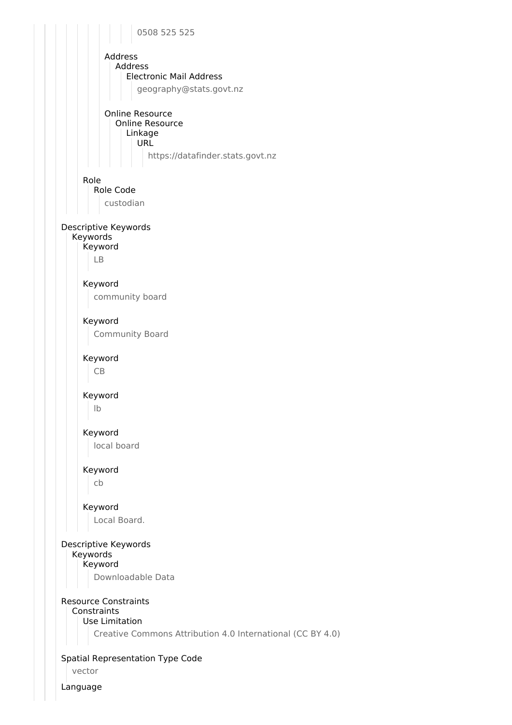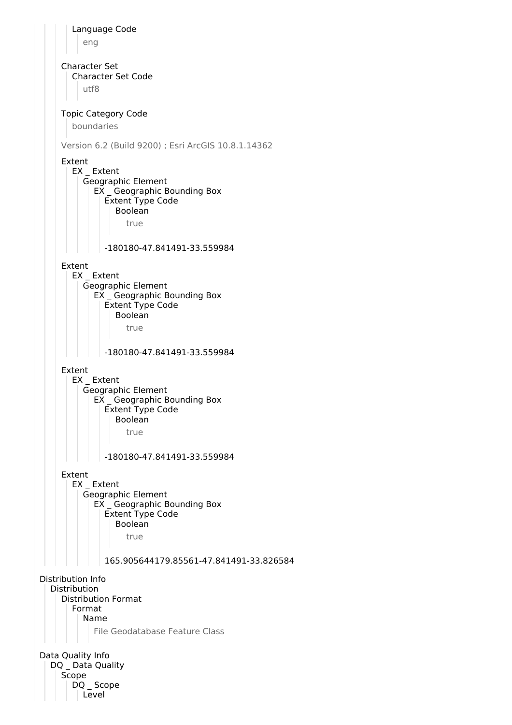